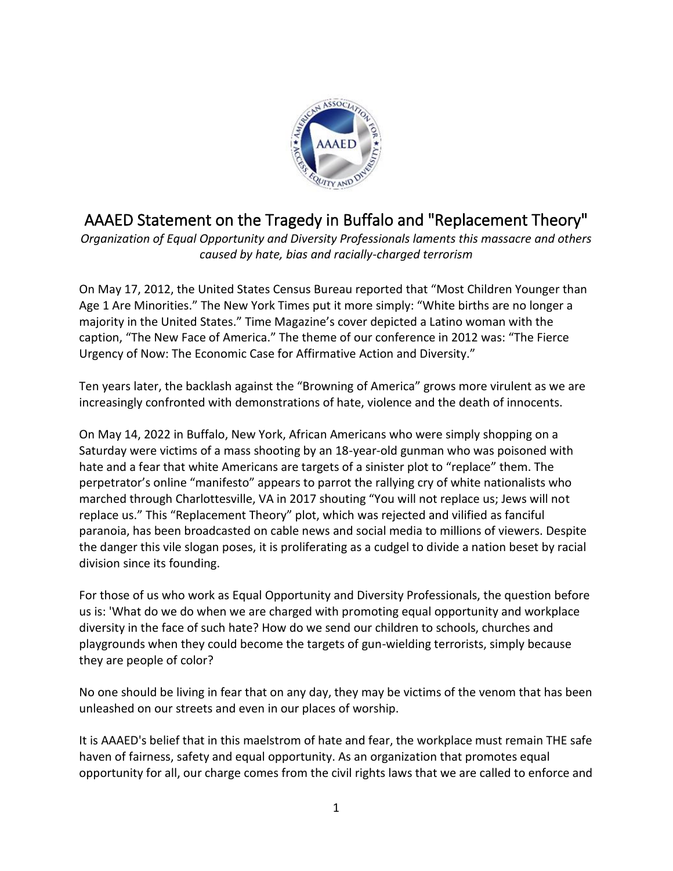

## AAAED Statement on the Tragedy in Buffalo and "Replacement Theory"

*Organization of Equal Opportunity and Diversity Professionals laments this massacre and others caused by hate, bias and racially-charged terrorism*

On May 17, 2012, the United States Census Bureau reported that "Most Children Younger than Age 1 Are Minorities." The New York Times put it more simply: "White births are no longer a majority in the United States." Time Magazine's cover depicted a Latino woman with the caption, "The New Face of America." The theme of our conference in 2012 was: "The Fierce Urgency of Now: The Economic Case for Affirmative Action and Diversity."

Ten years later, the backlash against the "Browning of America" grows more virulent as we are increasingly confronted with demonstrations of hate, violence and the death of innocents.

On May 14, 2022 in Buffalo, New York, African Americans who were simply shopping on a Saturday were victims of a mass shooting by an 18-year-old gunman who was poisoned with hate and a fear that white Americans are targets of a sinister plot to "replace" them. The perpetrator's online "manifesto" appears to parrot the rallying cry of white nationalists who marched through Charlottesville, VA in 2017 shouting "You will not replace us; Jews will not replace us." This "Replacement Theory" plot, which was rejected and vilified as fanciful paranoia, has been broadcasted on cable news and social media to millions of viewers. Despite the danger this vile slogan poses, it is proliferating as a cudgel to divide a nation beset by racial division since its founding.

For those of us who work as Equal Opportunity and Diversity Professionals, the question before us is: 'What do we do when we are charged with promoting equal opportunity and workplace diversity in the face of such hate? How do we send our children to schools, churches and playgrounds when they could become the targets of gun-wielding terrorists, simply because they are people of color?

No one should be living in fear that on any day, they may be victims of the venom that has been unleashed on our streets and even in our places of worship.

It is AAAED's belief that in this maelstrom of hate and fear, the workplace must remain THE safe haven of fairness, safety and equal opportunity. As an organization that promotes equal opportunity for all, our charge comes from the civil rights laws that we are called to enforce and